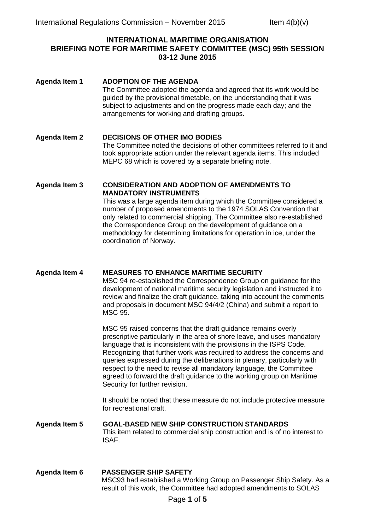## **INTERNATIONAL MARITIME ORGANISATION BRIEFING NOTE FOR MARITIME SAFETY COMMITTEE (MSC) 95th SESSION 03-12 June 2015**

| <b>Agenda Item 1</b> | <b>ADOPTION OF THE AGENDA</b><br>The Committee adopted the agenda and agreed that its work would be<br>guided by the provisional timetable, on the understanding that it was<br>subject to adjustments and on the progress made each day; and the<br>arrangements for working and drafting groups.                                                                                                                                                                                                                                                       |
|----------------------|----------------------------------------------------------------------------------------------------------------------------------------------------------------------------------------------------------------------------------------------------------------------------------------------------------------------------------------------------------------------------------------------------------------------------------------------------------------------------------------------------------------------------------------------------------|
| <b>Agenda Item 2</b> | <b>DECISIONS OF OTHER IMO BODIES</b><br>The Committee noted the decisions of other committees referred to it and<br>took appropriate action under the relevant agenda items. This included<br>MEPC 68 which is covered by a separate briefing note.                                                                                                                                                                                                                                                                                                      |
| <b>Agenda Item 3</b> | <b>CONSIDERATION AND ADOPTION OF AMENDMENTS TO</b><br><b>MANDATORY INSTRUMENTS</b><br>This was a large agenda item during which the Committee considered a<br>number of proposed amendments to the 1974 SOLAS Convention that<br>only related to commercial shipping. The Committee also re-established<br>the Correspondence Group on the development of guidance on a<br>methodology for determining limitations for operation in ice, under the<br>coordination of Norway.                                                                            |
| <b>Agenda Item 4</b> | <b>MEASURES TO ENHANCE MARITIME SECURITY</b><br>MSC 94 re-established the Correspondence Group on guidance for the<br>development of national maritime security legislation and instructed it to<br>review and finalize the draft guidance, taking into account the comments<br>and proposals in document MSC 94/4/2 (China) and submit a report to<br>MSC 95.                                                                                                                                                                                           |
|                      | MSC 95 raised concerns that the draft guidance remains overly<br>prescriptive particularly in the area of shore leave, and uses mandatory<br>language that is inconsistent with the provisions in the ISPS Code.<br>Recognizing that further work was required to address the concerns and<br>queries expressed during the deliberations in plenary, particularly with<br>respect to the need to revise all mandatory language, the Committee<br>agreed to forward the draft guidance to the working group on Maritime<br>Security for further revision. |
|                      | It should be noted that these measure do not include protective measure<br>for recreational craft.                                                                                                                                                                                                                                                                                                                                                                                                                                                       |
| <b>Agenda Item 5</b> | <b>GOAL-BASED NEW SHIP CONSTRUCTION STANDARDS</b><br>This item related to commercial ship construction and is of no interest to<br>ISAF.                                                                                                                                                                                                                                                                                                                                                                                                                 |
| Agenda Item 6        | <b>PASSENGER SHIP SAFETY</b>                                                                                                                                                                                                                                                                                                                                                                                                                                                                                                                             |

MSC93 had established a Working Group on Passenger Ship Safety. As a result of this work, the Committee had adopted amendments to SOLAS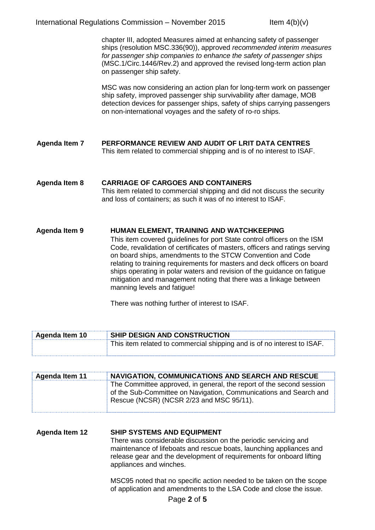chapter III, adopted Measures aimed at enhancing safety of passenger ships (resolution MSC.336(90)), approved *recommended interim measures for passenger ship companies to enhance the safety of passenger ships* (MSC.1/Circ.1446/Rev.2) and approved the revised long-term action plan on passenger ship safety.

MSC was now considering an action plan for long-term work on passenger ship safety, improved passenger ship survivability after damage, MOB detection devices for passenger ships, safety of ships carrying passengers on non-international voyages and the safety of ro-ro ships.

- **Agenda Item 7 PERFORMANCE REVIEW AND AUDIT OF LRIT DATA CENTRES** This item related to commercial shipping and is of no interest to ISAF.
- **Agenda Item 8 CARRIAGE OF CARGOES AND CONTAINERS** This item related to commercial shipping and did not discuss the security and loss of containers; as such it was of no interest to ISAF.

**Agenda Item 9 HUMAN ELEMENT, TRAINING AND WATCHKEEPING** This item covered guidelines for port State control officers on the ISM Code, revalidation of certificates of masters, officers and ratings serving on board ships, amendments to the STCW Convention and Code relating to training requirements for masters and deck officers on board ships operating in polar waters and revision of the guidance on fatigue mitigation and management noting that there was a linkage between manning levels and fatigue!

There was nothing further of interest to ISAF.

| <b>Agenda Item 10</b> | SHIP DESIGN AND CONSTRUCTION                                            |
|-----------------------|-------------------------------------------------------------------------|
|                       | This item related to commercial shipping and is of no interest to ISAF. |

| Agenda Item 11 | NAVIGATION, COMMUNICATIONS AND SEARCH AND RESCUE                                                                                                                                      |
|----------------|---------------------------------------------------------------------------------------------------------------------------------------------------------------------------------------|
|                | The Committee approved, in general, the report of the second session<br>of the Sub-Committee on Navigation, Communications and Search and<br>Rescue (NCSR) (NCSR 2/23 and MSC 95/11). |

**Agenda Item 12 SHIP SYSTEMS AND EQUIPMENT** There was considerable discussion on the periodic servicing and maintenance of lifeboats and rescue boats, launching appliances and release gear and the development of requirements for onboard lifting appliances and winches.

> MSC95 noted that no specific action needed to be taken on the scope of application and amendments to the LSA Code and close the issue.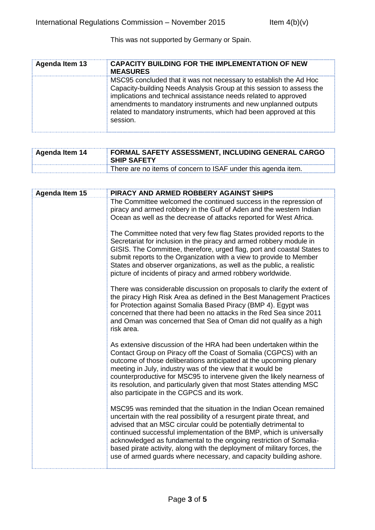This was not supported by Germany or Spain.

| <b>Agenda Item 13</b> | <b>CAPACITY BUILDING FOR THE IMPLEMENTATION OF NEW</b><br><b>MEASURES</b>                                                                                                                                                                                                                                                                                      |
|-----------------------|----------------------------------------------------------------------------------------------------------------------------------------------------------------------------------------------------------------------------------------------------------------------------------------------------------------------------------------------------------------|
|                       | MSC95 concluded that it was not necessary to establish the Ad Hoc<br>Capacity-building Needs Analysis Group at this session to assess the<br>implications and technical assistance needs related to approved<br>amendments to mandatory instruments and new unplanned outputs<br>related to mandatory instruments, which had been approved at this<br>session. |

| Agenda Item 14 | FORMAL SAFETY ASSESSMENT, INCLUDING GENERAL CARGO<br><b>SHIP SAFETY</b> |
|----------------|-------------------------------------------------------------------------|
|                | There are no items of concern to ISAF under this agenda item.           |

| <b>Agenda Item 15</b> | PIRACY AND ARMED ROBBERY AGAINST SHIPS                                                                                                                                                                                                                                                                                                                                                                                                                                                                          |
|-----------------------|-----------------------------------------------------------------------------------------------------------------------------------------------------------------------------------------------------------------------------------------------------------------------------------------------------------------------------------------------------------------------------------------------------------------------------------------------------------------------------------------------------------------|
|                       | The Committee welcomed the continued success in the repression of<br>piracy and armed robbery in the Gulf of Aden and the western Indian<br>Ocean as well as the decrease of attacks reported for West Africa.                                                                                                                                                                                                                                                                                                  |
|                       |                                                                                                                                                                                                                                                                                                                                                                                                                                                                                                                 |
|                       | The Committee noted that very few flag States provided reports to the<br>Secretariat for inclusion in the piracy and armed robbery module in<br>GISIS. The Committee, therefore, urged flag, port and coastal States to<br>submit reports to the Organization with a view to provide to Member<br>States and observer organizations, as well as the public, a realistic<br>picture of incidents of piracy and armed robbery worldwide.                                                                          |
|                       | There was considerable discussion on proposals to clarify the extent of<br>the piracy High Risk Area as defined in the Best Management Practices<br>for Protection against Somalia Based Piracy (BMP 4). Egypt was<br>concerned that there had been no attacks in the Red Sea since 2011<br>and Oman was concerned that Sea of Oman did not qualify as a high<br>risk area.                                                                                                                                     |
|                       | As extensive discussion of the HRA had been undertaken within the<br>Contact Group on Piracy off the Coast of Somalia (CGPCS) with an<br>outcome of those deliberations anticipated at the upcoming plenary<br>meeting in July, industry was of the view that it would be<br>counterproductive for MSC95 to intervene given the likely nearness of<br>its resolution, and particularly given that most States attending MSC<br>also participate in the CGPCS and its work.                                      |
|                       | MSC95 was reminded that the situation in the Indian Ocean remained<br>uncertain with the real possibility of a resurgent pirate threat, and<br>advised that an MSC circular could be potentially detrimental to<br>continued successful implementation of the BMP, which is universally<br>acknowledged as fundamental to the ongoing restriction of Somalia-<br>based pirate activity, along with the deployment of military forces, the<br>use of armed guards where necessary, and capacity building ashore. |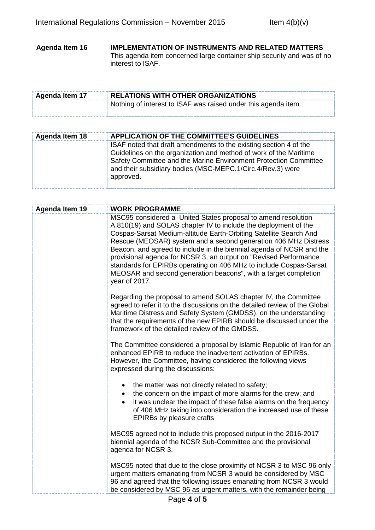**Agenda Item 16 IMPLEMENTATION OF INSTRUMENTS AND RELATED MATTERS** This agenda item concerned large container ship security and was of no interest to ISAF.

| <b>Agenda Item 17</b> | <b>RELATIONS WITH OTHER ORGANIZATIONS</b>                      |
|-----------------------|----------------------------------------------------------------|
|                       | Nothing of interest to ISAF was raised under this agenda item. |

| <b>Agenda Item 18</b> | APPLICATION OF THE COMMITTEE'S GUIDELINES                                                                                                                                                                                                                                             |
|-----------------------|---------------------------------------------------------------------------------------------------------------------------------------------------------------------------------------------------------------------------------------------------------------------------------------|
|                       | ISAF noted that draft amendments to the existing section 4 of the<br>Guidelines on the organization and method of work of the Maritime<br>Safety Committee and the Marine Environment Protection Committee<br>and their subsidiary bodies (MSC-MEPC.1/Circ.4/Rev.3) were<br>approved. |

| <b>Agenda Item 19</b> | <b>WORK PROGRAMME</b>                                                                                                                                                                                                                                                                                                                                                                                                                                                                                                                                                          |
|-----------------------|--------------------------------------------------------------------------------------------------------------------------------------------------------------------------------------------------------------------------------------------------------------------------------------------------------------------------------------------------------------------------------------------------------------------------------------------------------------------------------------------------------------------------------------------------------------------------------|
|                       | MSC95 considered a United States proposal to amend resolution<br>A.810(19) and SOLAS chapter IV to include the deployment of the<br>Cospas-Sarsat Medium-altitude Earth-Orbiting Satellite Search And<br>Rescue (MEOSAR) system and a second generation 406 MHz Distress<br>Beacon, and agreed to include in the biennial agenda of NCSR and the<br>provisional agenda for NCSR 3, an output on "Revised Performance<br>standards for EPIRBs operating on 406 MHz to include Cospas-Sarsat<br>MEOSAR and second generation beacons", with a target completion<br>year of 2017. |
|                       | Regarding the proposal to amend SOLAS chapter IV, the Committee<br>agreed to refer it to the discussions on the detailed review of the Global<br>Maritime Distress and Safety System (GMDSS), on the understanding<br>that the requirements of the new EPIRB should be discussed under the<br>framework of the detailed review of the GMDSS.                                                                                                                                                                                                                                   |
|                       | The Committee considered a proposal by Islamic Republic of Iran for an<br>enhanced EPIRB to reduce the inadvertent activation of EPIRBs.<br>However, the Committee, having considered the following views<br>expressed during the discussions:                                                                                                                                                                                                                                                                                                                                 |
|                       | the matter was not directly related to safety;<br>$\bullet$<br>the concern on the impact of more alarms for the crew; and<br>$\bullet$<br>it was unclear the impact of these false alarms on the frequency<br>$\bullet$<br>of 406 MHz taking into consideration the increased use of these<br>EPIRBs by pleasure crafts                                                                                                                                                                                                                                                        |
|                       | MSC95 agreed not to include this proposed output in the 2016-2017<br>biennial agenda of the NCSR Sub-Committee and the provisional<br>agenda for NCSR 3.                                                                                                                                                                                                                                                                                                                                                                                                                       |
|                       | MSC95 noted that due to the close proximity of NCSR 3 to MSC 96 only<br>urgent matters emanating from NCSR 3 would be considered by MSC<br>96 and agreed that the following issues emanating from NCSR 3 would<br>be considered by MSC 96 as urgent matters, with the remainder being                                                                                                                                                                                                                                                                                          |